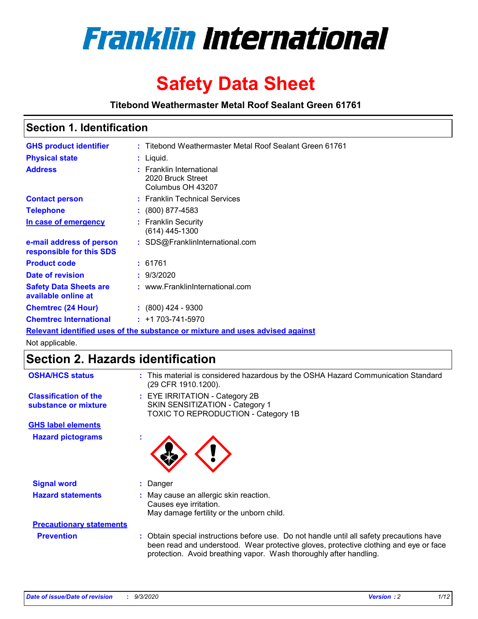

# **Safety Data Sheet**

**Titebond Weathermaster Metal Roof Sealant Green 61761**

# **Section 1. Identification**

| <b>GHS product identifier</b>                                                 |  | : Titebond Weathermaster Metal Roof Sealant Green 61761            |  |  |
|-------------------------------------------------------------------------------|--|--------------------------------------------------------------------|--|--|
| <b>Physical state</b>                                                         |  | : Liquid.                                                          |  |  |
| <b>Address</b>                                                                |  | : Franklin International<br>2020 Bruck Street<br>Columbus OH 43207 |  |  |
| <b>Contact person</b>                                                         |  | : Franklin Technical Services                                      |  |  |
| <b>Telephone</b>                                                              |  | $\colon$ (800) 877-4583                                            |  |  |
| In case of emergency                                                          |  | : Franklin Security<br>$(614)$ 445-1300                            |  |  |
| e-mail address of person<br>responsible for this SDS                          |  | : SDS@FranklinInternational.com                                    |  |  |
| <b>Product code</b>                                                           |  | : 61761                                                            |  |  |
| Date of revision                                                              |  | : 9/3/2020                                                         |  |  |
| <b>Safety Data Sheets are</b><br>available online at                          |  | : www.FranklinInternational.com                                    |  |  |
| <b>Chemtrec (24 Hour)</b>                                                     |  | $: (800)$ 424 - 9300                                               |  |  |
| <b>Chemtrec International</b>                                                 |  | $: +1703 - 741 - 5970$                                             |  |  |
| Relevant identified uses of the substance or mixture and uses advised against |  |                                                                    |  |  |

Not applicable.

# **Section 2. Hazards identification**

| <b>OSHA/HCS status</b>                               |    | : This material is considered hazardous by the OSHA Hazard Communication Standard<br>(29 CFR 1910.1200).                                                                                                                                                 |
|------------------------------------------------------|----|----------------------------------------------------------------------------------------------------------------------------------------------------------------------------------------------------------------------------------------------------------|
| <b>Classification of the</b><br>substance or mixture |    | : EYE IRRITATION - Category 2B<br>SKIN SENSITIZATION - Category 1<br>TOXIC TO REPRODUCTION - Category 1B                                                                                                                                                 |
| <b>GHS label elements</b>                            |    |                                                                                                                                                                                                                                                          |
| <b>Hazard pictograms</b>                             | ×. |                                                                                                                                                                                                                                                          |
| <b>Signal word</b>                                   | ÷. | Danger                                                                                                                                                                                                                                                   |
| <b>Hazard statements</b>                             |    | May cause an allergic skin reaction.<br>Causes eye irritation.<br>May damage fertility or the unborn child.                                                                                                                                              |
| <b>Precautionary statements</b>                      |    |                                                                                                                                                                                                                                                          |
| <b>Prevention</b>                                    |    | : Obtain special instructions before use. Do not handle until all safety precautions have<br>been read and understood. Wear protective gloves, protective clothing and eye or face<br>protection. Avoid breathing vapor. Wash thoroughly after handling. |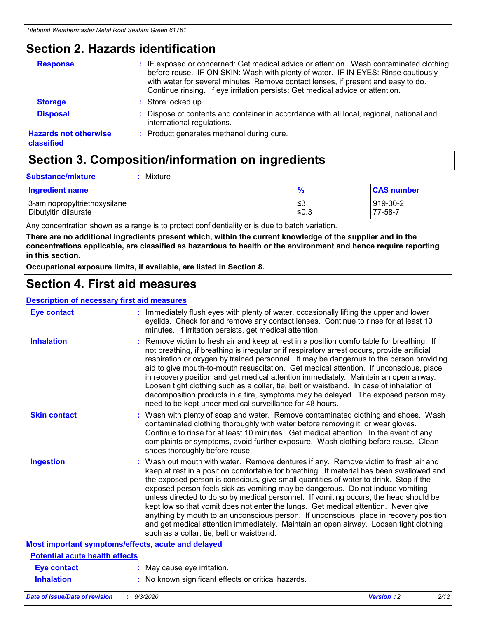### **Section 2. Hazards identification**

| <b>Response</b>                            | : IF exposed or concerned: Get medical advice or attention. Wash contaminated clothing<br>before reuse. IF ON SKIN: Wash with plenty of water. IF IN EYES: Rinse cautiously<br>with water for several minutes. Remove contact lenses, if present and easy to do.<br>Continue rinsing. If eye irritation persists: Get medical advice or attention. |
|--------------------------------------------|----------------------------------------------------------------------------------------------------------------------------------------------------------------------------------------------------------------------------------------------------------------------------------------------------------------------------------------------------|
| <b>Storage</b>                             | : Store locked up.                                                                                                                                                                                                                                                                                                                                 |
| <b>Disposal</b>                            | : Dispose of contents and container in accordance with all local, regional, national and<br>international regulations.                                                                                                                                                                                                                             |
| <b>Hazards not otherwise</b><br>classified | : Product generates methanol during cure.                                                                                                                                                                                                                                                                                                          |

# **Section 3. Composition/information on ingredients**

| <b>Substance/mixture</b> | : Mixture |
|--------------------------|-----------|
|                          |           |

| <b>Ingredient name</b>       | $\mathbf{0}$<br>70 | <b>CAS number</b> |
|------------------------------|--------------------|-------------------|
| 3-aminopropyltriethoxysilane | צ≥                 | 919-30-2          |
| Dibutyltin dilaurate         | ∣≤0.3              | 77-58-7           |

Any concentration shown as a range is to protect confidentiality or is due to batch variation.

**There are no additional ingredients present which, within the current knowledge of the supplier and in the concentrations applicable, are classified as hazardous to health or the environment and hence require reporting in this section.**

**Occupational exposure limits, if available, are listed in Section 8.**

### **Section 4. First aid measures**

| <b>Description of necessary first aid measures</b> |                                                                                                                                                                                                                                                                                                                                                                                                                                                                                                                                                                                                                                                                                                                                                                           |
|----------------------------------------------------|---------------------------------------------------------------------------------------------------------------------------------------------------------------------------------------------------------------------------------------------------------------------------------------------------------------------------------------------------------------------------------------------------------------------------------------------------------------------------------------------------------------------------------------------------------------------------------------------------------------------------------------------------------------------------------------------------------------------------------------------------------------------------|
| <b>Eye contact</b>                                 | : Immediately flush eyes with plenty of water, occasionally lifting the upper and lower<br>eyelids. Check for and remove any contact lenses. Continue to rinse for at least 10<br>minutes. If irritation persists, get medical attention.                                                                                                                                                                                                                                                                                                                                                                                                                                                                                                                                 |
| <b>Inhalation</b>                                  | : Remove victim to fresh air and keep at rest in a position comfortable for breathing. If<br>not breathing, if breathing is irregular or if respiratory arrest occurs, provide artificial<br>respiration or oxygen by trained personnel. It may be dangerous to the person providing<br>aid to give mouth-to-mouth resuscitation. Get medical attention. If unconscious, place<br>in recovery position and get medical attention immediately. Maintain an open airway.<br>Loosen tight clothing such as a collar, tie, belt or waistband. In case of inhalation of<br>decomposition products in a fire, symptoms may be delayed. The exposed person may<br>need to be kept under medical surveillance for 48 hours.                                                       |
| <b>Skin contact</b>                                | : Wash with plenty of soap and water. Remove contaminated clothing and shoes. Wash<br>contaminated clothing thoroughly with water before removing it, or wear gloves.<br>Continue to rinse for at least 10 minutes. Get medical attention. In the event of any<br>complaints or symptoms, avoid further exposure. Wash clothing before reuse. Clean<br>shoes thoroughly before reuse.                                                                                                                                                                                                                                                                                                                                                                                     |
| <b>Ingestion</b>                                   | : Wash out mouth with water. Remove dentures if any. Remove victim to fresh air and<br>keep at rest in a position comfortable for breathing. If material has been swallowed and<br>the exposed person is conscious, give small quantities of water to drink. Stop if the<br>exposed person feels sick as vomiting may be dangerous. Do not induce vomiting<br>unless directed to do so by medical personnel. If vomiting occurs, the head should be<br>kept low so that vomit does not enter the lungs. Get medical attention. Never give<br>anything by mouth to an unconscious person. If unconscious, place in recovery position<br>and get medical attention immediately. Maintain an open airway. Loosen tight clothing<br>such as a collar, tie, belt or waistband. |
| Most important symptoms/effects, acute and delayed |                                                                                                                                                                                                                                                                                                                                                                                                                                                                                                                                                                                                                                                                                                                                                                           |
| <b>Potential acute health effects</b>              |                                                                                                                                                                                                                                                                                                                                                                                                                                                                                                                                                                                                                                                                                                                                                                           |
| <b>Eye contact</b>                                 | : May cause eye irritation.                                                                                                                                                                                                                                                                                                                                                                                                                                                                                                                                                                                                                                                                                                                                               |
| <b>Inhalation</b>                                  | : No known significant effects or critical hazards.                                                                                                                                                                                                                                                                                                                                                                                                                                                                                                                                                                                                                                                                                                                       |
|                                                    |                                                                                                                                                                                                                                                                                                                                                                                                                                                                                                                                                                                                                                                                                                                                                                           |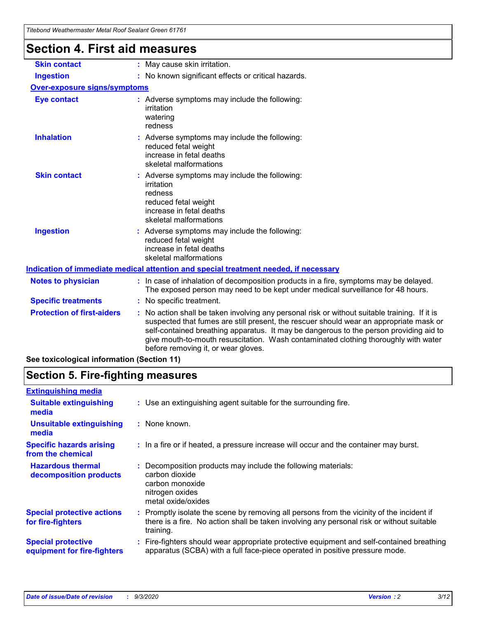| Tilebong Weathermaster Metal Roof Sealaht Green 61761 |                                                                                                                                                                                                                                                                                                                                                                                                               |
|-------------------------------------------------------|---------------------------------------------------------------------------------------------------------------------------------------------------------------------------------------------------------------------------------------------------------------------------------------------------------------------------------------------------------------------------------------------------------------|
| <b>Section 4. First aid measures</b>                  |                                                                                                                                                                                                                                                                                                                                                                                                               |
| <b>Skin contact</b>                                   | : May cause skin irritation.                                                                                                                                                                                                                                                                                                                                                                                  |
| <b>Ingestion</b>                                      | : No known significant effects or critical hazards.                                                                                                                                                                                                                                                                                                                                                           |
| <b>Over-exposure signs/symptoms</b>                   |                                                                                                                                                                                                                                                                                                                                                                                                               |
| <b>Eye contact</b>                                    | : Adverse symptoms may include the following:<br>irritation<br>watering<br>redness                                                                                                                                                                                                                                                                                                                            |
| <b>Inhalation</b>                                     | : Adverse symptoms may include the following:<br>reduced fetal weight<br>increase in fetal deaths<br>skeletal malformations                                                                                                                                                                                                                                                                                   |
| <b>Skin contact</b>                                   | : Adverse symptoms may include the following:<br>irritation<br>redness<br>reduced fetal weight<br>increase in fetal deaths<br>skeletal malformations                                                                                                                                                                                                                                                          |
| <b>Ingestion</b>                                      | : Adverse symptoms may include the following:<br>reduced fetal weight<br>increase in fetal deaths<br>skeletal malformations                                                                                                                                                                                                                                                                                   |
|                                                       | Indication of immediate medical attention and special treatment needed, if necessary                                                                                                                                                                                                                                                                                                                          |
| <b>Notes to physician</b>                             | : In case of inhalation of decomposition products in a fire, symptoms may be delayed.<br>The exposed person may need to be kept under medical surveillance for 48 hours.                                                                                                                                                                                                                                      |
| <b>Specific treatments</b>                            | : No specific treatment.                                                                                                                                                                                                                                                                                                                                                                                      |
| <b>Protection of first-aiders</b>                     | No action shall be taken involving any personal risk or without suitable training. If it is<br>suspected that fumes are still present, the rescuer should wear an appropriate mask or<br>self-contained breathing apparatus. It may be dangerous to the person providing aid to<br>give mouth-to-mouth resuscitation. Wash contaminated clothing thoroughly with water<br>before removing it, or wear gloves. |
| See toxicological information (Section 11)            |                                                                                                                                                                                                                                                                                                                                                                                                               |

# **Section 5. Fire-fighting measures**

| <b>Extinguishing media</b>                               |                                                                                                                                                                                                     |
|----------------------------------------------------------|-----------------------------------------------------------------------------------------------------------------------------------------------------------------------------------------------------|
| <b>Suitable extinguishing</b><br>media                   | : Use an extinguishing agent suitable for the surrounding fire.                                                                                                                                     |
| <b>Unsuitable extinguishing</b><br>media                 | : None known.                                                                                                                                                                                       |
| <b>Specific hazards arising</b><br>from the chemical     | : In a fire or if heated, a pressure increase will occur and the container may burst.                                                                                                               |
| <b>Hazardous thermal</b><br>decomposition products       | Decomposition products may include the following materials:<br>carbon dioxide<br>carbon monoxide<br>nitrogen oxides<br>metal oxide/oxides                                                           |
| <b>Special protective actions</b><br>for fire-fighters   | : Promptly isolate the scene by removing all persons from the vicinity of the incident if<br>there is a fire. No action shall be taken involving any personal risk or without suitable<br>training. |
| <b>Special protective</b><br>equipment for fire-fighters | Fire-fighters should wear appropriate protective equipment and self-contained breathing<br>apparatus (SCBA) with a full face-piece operated in positive pressure mode.                              |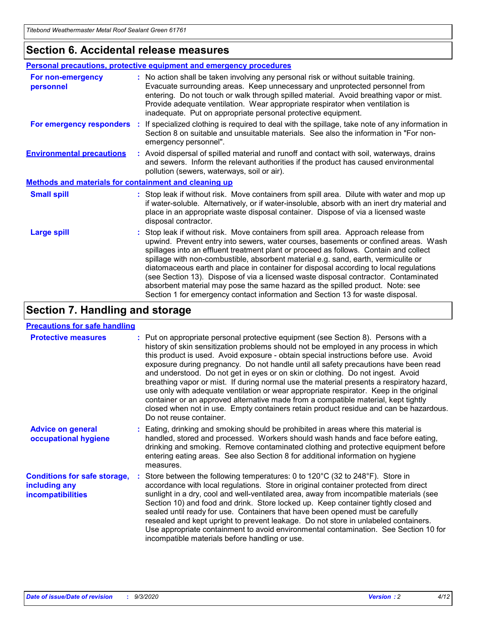### **Section 6. Accidental release measures**

|                                                       | Personal precautions, protective equipment and emergency procedures                                                                                                                                                                                                                                                                                                                                                                                                                                                                                                                                                                                                                                          |  |  |  |
|-------------------------------------------------------|--------------------------------------------------------------------------------------------------------------------------------------------------------------------------------------------------------------------------------------------------------------------------------------------------------------------------------------------------------------------------------------------------------------------------------------------------------------------------------------------------------------------------------------------------------------------------------------------------------------------------------------------------------------------------------------------------------------|--|--|--|
| For non-emergency<br>personnel                        | : No action shall be taken involving any personal risk or without suitable training.<br>Evacuate surrounding areas. Keep unnecessary and unprotected personnel from<br>entering. Do not touch or walk through spilled material. Avoid breathing vapor or mist.<br>Provide adequate ventilation. Wear appropriate respirator when ventilation is<br>inadequate. Put on appropriate personal protective equipment.                                                                                                                                                                                                                                                                                             |  |  |  |
| For emergency responders                              | : If specialized clothing is required to deal with the spillage, take note of any information in<br>Section 8 on suitable and unsuitable materials. See also the information in "For non-<br>emergency personnel".                                                                                                                                                                                                                                                                                                                                                                                                                                                                                           |  |  |  |
| <b>Environmental precautions</b>                      | : Avoid dispersal of spilled material and runoff and contact with soil, waterways, drains<br>and sewers. Inform the relevant authorities if the product has caused environmental<br>pollution (sewers, waterways, soil or air).                                                                                                                                                                                                                                                                                                                                                                                                                                                                              |  |  |  |
| Methods and materials for containment and cleaning up |                                                                                                                                                                                                                                                                                                                                                                                                                                                                                                                                                                                                                                                                                                              |  |  |  |
| <b>Small spill</b>                                    | : Stop leak if without risk. Move containers from spill area. Dilute with water and mop up<br>if water-soluble. Alternatively, or if water-insoluble, absorb with an inert dry material and<br>place in an appropriate waste disposal container. Dispose of via a licensed waste<br>disposal contractor.                                                                                                                                                                                                                                                                                                                                                                                                     |  |  |  |
| <b>Large spill</b>                                    | : Stop leak if without risk. Move containers from spill area. Approach release from<br>upwind. Prevent entry into sewers, water courses, basements or confined areas. Wash<br>spillages into an effluent treatment plant or proceed as follows. Contain and collect<br>spillage with non-combustible, absorbent material e.g. sand, earth, vermiculite or<br>diatomaceous earth and place in container for disposal according to local regulations<br>(see Section 13). Dispose of via a licensed waste disposal contractor. Contaminated<br>absorbent material may pose the same hazard as the spilled product. Note: see<br>Section 1 for emergency contact information and Section 13 for waste disposal. |  |  |  |

# **Section 7. Handling and storage**

### **Precautions for safe handling**

| <b>Protective measures</b>                                                       | : Put on appropriate personal protective equipment (see Section 8). Persons with a<br>history of skin sensitization problems should not be employed in any process in which<br>this product is used. Avoid exposure - obtain special instructions before use. Avoid<br>exposure during pregnancy. Do not handle until all safety precautions have been read<br>and understood. Do not get in eyes or on skin or clothing. Do not ingest. Avoid<br>breathing vapor or mist. If during normal use the material presents a respiratory hazard,<br>use only with adequate ventilation or wear appropriate respirator. Keep in the original<br>container or an approved alternative made from a compatible material, kept tightly<br>closed when not in use. Empty containers retain product residue and can be hazardous.<br>Do not reuse container. |
|----------------------------------------------------------------------------------|--------------------------------------------------------------------------------------------------------------------------------------------------------------------------------------------------------------------------------------------------------------------------------------------------------------------------------------------------------------------------------------------------------------------------------------------------------------------------------------------------------------------------------------------------------------------------------------------------------------------------------------------------------------------------------------------------------------------------------------------------------------------------------------------------------------------------------------------------|
| <b>Advice on general</b><br>occupational hygiene                                 | : Eating, drinking and smoking should be prohibited in areas where this material is<br>handled, stored and processed. Workers should wash hands and face before eating,<br>drinking and smoking. Remove contaminated clothing and protective equipment before<br>entering eating areas. See also Section 8 for additional information on hygiene<br>measures.                                                                                                                                                                                                                                                                                                                                                                                                                                                                                    |
| <b>Conditions for safe storage,</b><br>including any<br><b>incompatibilities</b> | Store between the following temperatures: 0 to $120^{\circ}$ C (32 to $248^{\circ}$ F). Store in<br>accordance with local regulations. Store in original container protected from direct<br>sunlight in a dry, cool and well-ventilated area, away from incompatible materials (see<br>Section 10) and food and drink. Store locked up. Keep container tightly closed and<br>sealed until ready for use. Containers that have been opened must be carefully<br>resealed and kept upright to prevent leakage. Do not store in unlabeled containers.<br>Use appropriate containment to avoid environmental contamination. See Section 10 for<br>incompatible materials before handling or use.                                                                                                                                                     |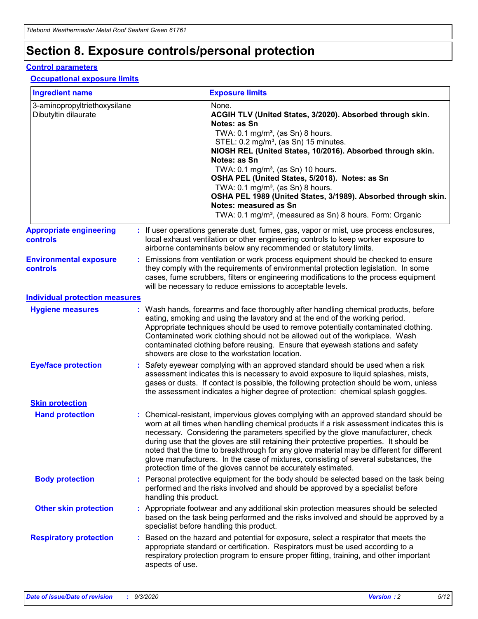# **Section 8. Exposure controls/personal protection**

### **Control parameters**

### **Occupational exposure limits**

| <b>Ingredient name</b>                               |    |                        | <b>Exposure limits</b>                                                                                                                                                                                                                                                                                                                                                                                                                                                                                                                                                                                                 |
|------------------------------------------------------|----|------------------------|------------------------------------------------------------------------------------------------------------------------------------------------------------------------------------------------------------------------------------------------------------------------------------------------------------------------------------------------------------------------------------------------------------------------------------------------------------------------------------------------------------------------------------------------------------------------------------------------------------------------|
| 3-aminopropyltriethoxysilane<br>Dibutyltin dilaurate |    |                        | None.<br>ACGIH TLV (United States, 3/2020). Absorbed through skin.<br>Notes: as Sn<br>TWA: $0.1 \text{ mg/m}^3$ , (as Sn) 8 hours.<br>STEL: 0.2 mg/m <sup>3</sup> , (as Sn) 15 minutes.<br>NIOSH REL (United States, 10/2016). Absorbed through skin.<br>Notes: as Sn<br>TWA: 0.1 mg/m <sup>3</sup> , (as Sn) 10 hours.<br>OSHA PEL (United States, 5/2018). Notes: as Sn<br>TWA: $0.1 \text{ mg/m}^3$ , (as Sn) 8 hours.<br>OSHA PEL 1989 (United States, 3/1989). Absorbed through skin.<br>Notes: measured as Sn<br>TWA: 0.1 mg/m <sup>3</sup> , (measured as Sn) 8 hours. Form: Organic                            |
| <b>Appropriate engineering</b><br>controls           |    |                        | : If user operations generate dust, fumes, gas, vapor or mist, use process enclosures,<br>local exhaust ventilation or other engineering controls to keep worker exposure to<br>airborne contaminants below any recommended or statutory limits.                                                                                                                                                                                                                                                                                                                                                                       |
| <b>Environmental exposure</b><br>controls            |    |                        | Emissions from ventilation or work process equipment should be checked to ensure<br>they comply with the requirements of environmental protection legislation. In some<br>cases, fume scrubbers, filters or engineering modifications to the process equipment<br>will be necessary to reduce emissions to acceptable levels.                                                                                                                                                                                                                                                                                          |
| <b>Individual protection measures</b>                |    |                        |                                                                                                                                                                                                                                                                                                                                                                                                                                                                                                                                                                                                                        |
| <b>Hygiene measures</b>                              |    |                        | : Wash hands, forearms and face thoroughly after handling chemical products, before<br>eating, smoking and using the lavatory and at the end of the working period.<br>Appropriate techniques should be used to remove potentially contaminated clothing.<br>Contaminated work clothing should not be allowed out of the workplace. Wash<br>contaminated clothing before reusing. Ensure that eyewash stations and safety<br>showers are close to the workstation location.                                                                                                                                            |
| <b>Eye/face protection</b>                           |    |                        | : Safety eyewear complying with an approved standard should be used when a risk<br>assessment indicates this is necessary to avoid exposure to liquid splashes, mists,<br>gases or dusts. If contact is possible, the following protection should be worn, unless<br>the assessment indicates a higher degree of protection: chemical splash goggles.                                                                                                                                                                                                                                                                  |
| <b>Skin protection</b>                               |    |                        |                                                                                                                                                                                                                                                                                                                                                                                                                                                                                                                                                                                                                        |
| <b>Hand protection</b>                               |    |                        | : Chemical-resistant, impervious gloves complying with an approved standard should be<br>worn at all times when handling chemical products if a risk assessment indicates this is<br>necessary. Considering the parameters specified by the glove manufacturer, check<br>during use that the gloves are still retaining their protective properties. It should be<br>noted that the time to breakthrough for any glove material may be different for different<br>glove manufacturers. In the case of mixtures, consisting of several substances, the<br>protection time of the gloves cannot be accurately estimated. |
| <b>Body protection</b>                               |    | handling this product. | Personal protective equipment for the body should be selected based on the task being<br>performed and the risks involved and should be approved by a specialist before                                                                                                                                                                                                                                                                                                                                                                                                                                                |
| <b>Other skin protection</b>                         |    |                        | : Appropriate footwear and any additional skin protection measures should be selected<br>based on the task being performed and the risks involved and should be approved by a<br>specialist before handling this product.                                                                                                                                                                                                                                                                                                                                                                                              |
| <b>Respiratory protection</b>                        | ÷. | aspects of use.        | Based on the hazard and potential for exposure, select a respirator that meets the<br>appropriate standard or certification. Respirators must be used according to a<br>respiratory protection program to ensure proper fitting, training, and other important                                                                                                                                                                                                                                                                                                                                                         |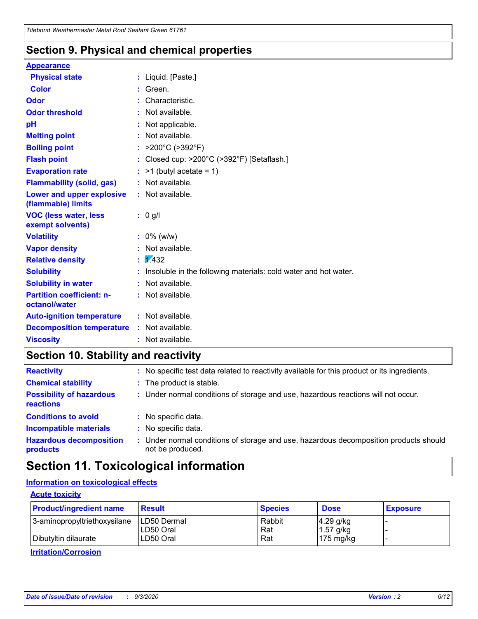### **Section 9. Physical and chemical properties**

### **Appearance**

| <b>Physical state</b>                             |    | : Liquid. [Paste.]                                              |
|---------------------------------------------------|----|-----------------------------------------------------------------|
| <b>Color</b>                                      |    | Green.                                                          |
| Odor                                              |    | Characteristic.                                                 |
| <b>Odor threshold</b>                             |    | Not available.                                                  |
| рH                                                |    | Not applicable.                                                 |
| <b>Melting point</b>                              |    | Not available.                                                  |
| <b>Boiling point</b>                              |    | : $>200^{\circ}$ C ( $>392^{\circ}$ F)                          |
| <b>Flash point</b>                                |    | Closed cup: >200°C (>392°F) [Setaflash.]                        |
| <b>Evaporation rate</b>                           |    | $:$ >1 (butyl acetate = 1)                                      |
| <b>Flammability (solid, gas)</b>                  |    | : Not available.                                                |
| Lower and upper explosive<br>(flammable) limits   |    | : Not available.                                                |
| <b>VOC (less water, less</b><br>exempt solvents)  |    | : 0 g/l                                                         |
| <b>Volatility</b>                                 |    | $: 0\%$ (w/w)                                                   |
| <b>Vapor density</b>                              |    | Not available.                                                  |
| <b>Relative density</b>                           | ÷. | $\sqrt{1/432}$                                                  |
| <b>Solubility</b>                                 |    | Insoluble in the following materials: cold water and hot water. |
| <b>Solubility in water</b>                        |    | Not available.                                                  |
| <b>Partition coefficient: n-</b><br>octanol/water |    | : Not available.                                                |
| <b>Auto-ignition temperature</b>                  |    | $:$ Not available.                                              |
| <b>Decomposition temperature</b>                  |    | : Not available.                                                |
| <b>Viscosity</b>                                  |    | $:$ Not available.                                              |

# **Section 10. Stability and reactivity**

| <b>Reactivity</b>                            |    | : No specific test data related to reactivity available for this product or its ingredients.            |
|----------------------------------------------|----|---------------------------------------------------------------------------------------------------------|
| <b>Chemical stability</b>                    |    | : The product is stable.                                                                                |
| <b>Possibility of hazardous</b><br>reactions |    | : Under normal conditions of storage and use, hazardous reactions will not occur.                       |
| <b>Conditions to avoid</b>                   |    | : No specific data.                                                                                     |
| <b>Incompatible materials</b>                | ٠. | No specific data.                                                                                       |
| <b>Hazardous decomposition</b><br>products   | ÷. | Under normal conditions of storage and use, hazardous decomposition products should<br>not be produced. |

# **Section 11. Toxicological information**

### **Information on toxicological effects**

### **Acute toxicity**

| <b>Product/ingredient name</b> | <b>Result</b>           | <b>Species</b> | <b>Dose</b>                | <b>Exposure</b> |
|--------------------------------|-------------------------|----------------|----------------------------|-----------------|
| 3-aminopropyltriethoxysilane   | <b>ILD50 Dermal</b>     | Rabbit         | 4.29 g/kg                  |                 |
| Dibutyltin dilaurate           | ILD50 Oral<br>LD50 Oral | Rat<br>Rat     | $1.57$ g/kg<br>175 $mg/kg$ |                 |
|                                |                         |                |                            |                 |

**Irritation/Corrosion**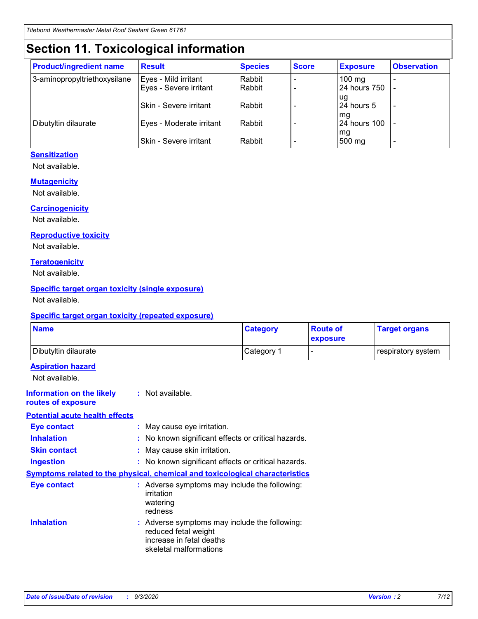# **Section 11. Toxicological information**

| <b>Product/ingredient name</b> | <b>Result</b>            | <b>Species</b> | <b>Score</b> | <b>Exposure</b>    | <b>Observation</b> |
|--------------------------------|--------------------------|----------------|--------------|--------------------|--------------------|
| 3-aminopropyltriethoxysilane   | Eyes - Mild irritant     | Rabbit         |              | $100$ mg           |                    |
|                                | Eyes - Severe irritant   | Rabbit         |              | 24 hours 750       |                    |
|                                |                          |                |              | ug                 |                    |
|                                | Skin - Severe irritant   | Rabbit         |              | 24 hours 5         | -                  |
| Dibutyltin dilaurate           | Eyes - Moderate irritant | Rabbit         |              | mg<br>24 hours 100 |                    |
|                                |                          |                |              | mg                 |                    |
|                                | Skin - Severe irritant   | Rabbit         |              | 500 mg             | -                  |

### **Sensitization**

Not available.

### **Mutagenicity**

Not available.

### **Carcinogenicity**

Not available.

### **Reproductive toxicity**

Not available.

### **Teratogenicity**

Not available.

### **Specific target organ toxicity (single exposure)**

Not available.

### **Specific target organ toxicity (repeated exposure)**

| <b>Name</b>                                                                  |                                                                                                                             | <b>Category</b>                                     | <b>Route of</b><br>exposure | <b>Target organs</b> |  |  |
|------------------------------------------------------------------------------|-----------------------------------------------------------------------------------------------------------------------------|-----------------------------------------------------|-----------------------------|----------------------|--|--|
| Dibutyltin dilaurate                                                         |                                                                                                                             | Category 1                                          |                             | respiratory system   |  |  |
| <b>Aspiration hazard</b><br>Not available.                                   |                                                                                                                             |                                                     |                             |                      |  |  |
| <b>Information on the likely</b><br>routes of exposure                       | : Not available.                                                                                                            |                                                     |                             |                      |  |  |
| <b>Potential acute health effects</b>                                        |                                                                                                                             |                                                     |                             |                      |  |  |
| <b>Eye contact</b>                                                           | : May cause eye irritation.                                                                                                 |                                                     |                             |                      |  |  |
| <b>Inhalation</b>                                                            |                                                                                                                             | : No known significant effects or critical hazards. |                             |                      |  |  |
| <b>Skin contact</b>                                                          |                                                                                                                             | : May cause skin irritation.                        |                             |                      |  |  |
| <b>Ingestion</b>                                                             |                                                                                                                             | : No known significant effects or critical hazards. |                             |                      |  |  |
| Symptoms related to the physical, chemical and toxicological characteristics |                                                                                                                             |                                                     |                             |                      |  |  |
| <b>Eye contact</b>                                                           | : Adverse symptoms may include the following:<br>irritation<br>watering<br>redness                                          |                                                     |                             |                      |  |  |
| <b>Inhalation</b>                                                            | : Adverse symptoms may include the following:<br>reduced fetal weight<br>increase in fetal deaths<br>skeletal malformations |                                                     |                             |                      |  |  |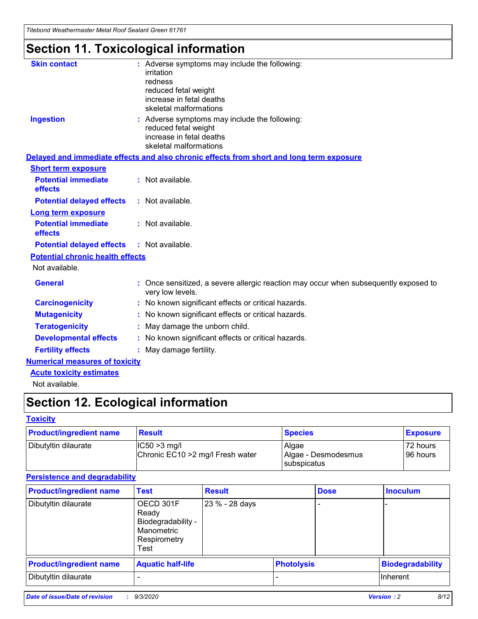*Titebond Weathermaster Metal Roof Sealant Green 61761*

# **Section 11. Toxicological information**

| <b>Skin contact</b>                     | irritation<br>redness<br>reduced fetal weight<br>increase in fetal deaths<br>skeletal malformations | : Adverse symptoms may include the following:                                            |
|-----------------------------------------|-----------------------------------------------------------------------------------------------------|------------------------------------------------------------------------------------------|
| <b>Ingestion</b>                        | reduced fetal weight<br>increase in fetal deaths<br>skeletal malformations                          | : Adverse symptoms may include the following:                                            |
|                                         |                                                                                                     | Delayed and immediate effects and also chronic effects from short and long term exposure |
| <b>Short term exposure</b>              |                                                                                                     |                                                                                          |
| <b>Potential immediate</b><br>effects   | : Not available.                                                                                    |                                                                                          |
| <b>Potential delayed effects</b>        | : Not available.                                                                                    |                                                                                          |
| <b>Long term exposure</b>               |                                                                                                     |                                                                                          |
| <b>Potential immediate</b><br>effects   | : Not available.                                                                                    |                                                                                          |
| <b>Potential delayed effects</b>        | : Not available.                                                                                    |                                                                                          |
| <b>Potential chronic health effects</b> |                                                                                                     |                                                                                          |
| Not available.                          |                                                                                                     |                                                                                          |
| <b>General</b>                          | very low levels.                                                                                    | : Once sensitized, a severe allergic reaction may occur when subsequently exposed to     |
| <b>Carcinogenicity</b>                  |                                                                                                     | : No known significant effects or critical hazards.                                      |
| <b>Mutagenicity</b>                     |                                                                                                     | No known significant effects or critical hazards.                                        |
| <b>Teratogenicity</b>                   |                                                                                                     | May damage the unborn child.                                                             |
| <b>Developmental effects</b>            |                                                                                                     | : No known significant effects or critical hazards.                                      |
| <b>Fertility effects</b>                | May damage fertility.                                                                               |                                                                                          |
| <b>Numerical measures of toxicity</b>   |                                                                                                     |                                                                                          |
| <b>Acute toxicity estimates</b>         |                                                                                                     |                                                                                          |
| Not available.                          |                                                                                                     |                                                                                          |

# **Section 12. Ecological information**

### **Toxicity**

| <b>Product/ingredient name</b> | <b>Result</b>                                       | <b>Species</b>               | <b>Exposure</b>       |
|--------------------------------|-----------------------------------------------------|------------------------------|-----------------------|
| Dibutyltin dilaurate           | $ IC50>3$ mg/l<br>Chronic EC10 > 2 mg/l Fresh water | Algae<br>Algae - Desmodesmus | 72 hours<br>196 hours |
|                                |                                                     | subspicatus                  |                       |

### **Persistence and degradability**

| <b>Product/ingredient name</b> | <b>Test</b>                                                                    | <b>Result</b>  |                   | <b>Dose</b> | <b>Inoculum</b>         |
|--------------------------------|--------------------------------------------------------------------------------|----------------|-------------------|-------------|-------------------------|
| Dibutyltin dilaurate           | OECD 301F<br>Ready<br>Biodegradability -<br>Manometric<br>Respirometry<br>Test | 23 % - 28 days |                   |             |                         |
| <b>Product/ingredient name</b> | <b>Aquatic half-life</b>                                                       |                | <b>Photolysis</b> |             | <b>Biodegradability</b> |
| Dibutyltin dilaurate           |                                                                                |                |                   |             | <b>Inherent</b>         |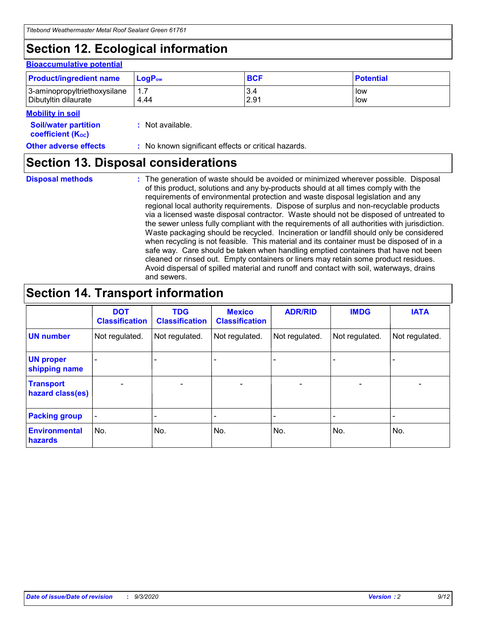# **Section 12. Ecological information**

#### **Bioaccumulative potential**

| <b>Product/ingredient name</b> | $LoaPow$ | <b>BCF</b> | <b>Potential</b> |
|--------------------------------|----------|------------|------------------|
| 3-aminopropyltriethoxysilane   | 1.7      | 3.4        | low              |
| Dibutyltin dilaurate           | 4.44     | 2.91       | low              |

### **Mobility in soil**

| <b>INIUDIIILY III SUII</b>                              |                                                     |
|---------------------------------------------------------|-----------------------------------------------------|
| <b>Soil/water partition</b><br><b>coefficient (Koc)</b> | : Not available.                                    |
| <b>Other adverse effects</b>                            | : No known significant effects or critical hazards. |

### **Section 13. Disposal considerations**

**Disposal methods :**

The generation of waste should be avoided or minimized wherever possible. Disposal of this product, solutions and any by-products should at all times comply with the requirements of environmental protection and waste disposal legislation and any regional local authority requirements. Dispose of surplus and non-recyclable products via a licensed waste disposal contractor. Waste should not be disposed of untreated to the sewer unless fully compliant with the requirements of all authorities with jurisdiction. Waste packaging should be recycled. Incineration or landfill should only be considered when recycling is not feasible. This material and its container must be disposed of in a safe way. Care should be taken when handling emptied containers that have not been cleaned or rinsed out. Empty containers or liners may retain some product residues. Avoid dispersal of spilled material and runoff and contact with soil, waterways, drains and sewers.

# **Section 14. Transport information**

|                                      | <b>DOT</b><br><b>Classification</b> | <b>TDG</b><br><b>Classification</b> | <b>Mexico</b><br><b>Classification</b> | <b>ADR/RID</b>           | <b>IMDG</b>              | <b>IATA</b>    |
|--------------------------------------|-------------------------------------|-------------------------------------|----------------------------------------|--------------------------|--------------------------|----------------|
| <b>UN number</b>                     | Not regulated.                      | Not regulated.                      | Not regulated.                         | Not regulated.           | Not regulated.           | Not regulated. |
| <b>UN proper</b><br>shipping name    |                                     |                                     |                                        |                          |                          |                |
| <b>Transport</b><br>hazard class(es) |                                     | $\overline{\phantom{0}}$            | $\qquad \qquad \blacksquare$           | $\overline{\phantom{0}}$ | $\overline{\phantom{0}}$ |                |
| <b>Packing group</b>                 |                                     |                                     |                                        |                          |                          |                |
| <b>Environmental</b><br>hazards      | No.                                 | No.                                 | No.                                    | No.                      | No.                      | No.            |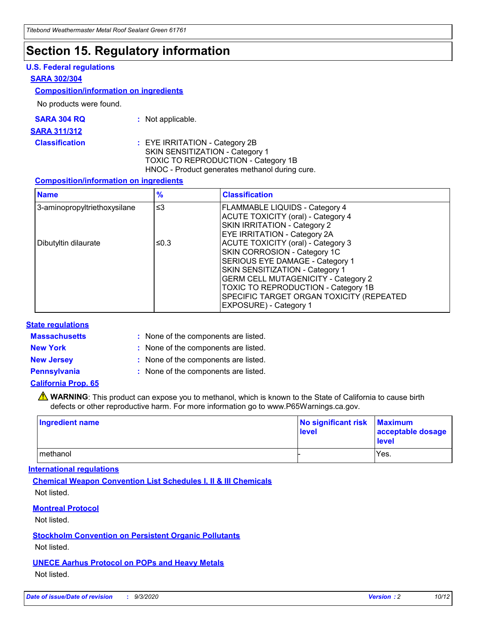# **Section 15. Regulatory information**

### **U.S. Federal regulations**

### **SARA 302/304**

### **Composition/information on ingredients**

No products were found.

| SARA 304 RQ | Not applicable. |
|-------------|-----------------|
|-------------|-----------------|

#### **SARA 311/312**

**Classification :** EYE IRRITATION - Category 2B SKIN SENSITIZATION - Category 1 TOXIC TO REPRODUCTION - Category 1B HNOC - Product generates methanol during cure.

### **Composition/information on ingredients**

| <b>Name</b>                  | $\frac{9}{6}$ | <b>Classification</b>                                                                                                                                                                                                                                                                                      |
|------------------------------|---------------|------------------------------------------------------------------------------------------------------------------------------------------------------------------------------------------------------------------------------------------------------------------------------------------------------------|
| 3-aminopropyltriethoxysilane | $\leq$ 3      | <b>FLAMMABLE LIQUIDS - Category 4</b><br><b>ACUTE TOXICITY (oral) - Category 4</b><br><b>SKIN IRRITATION - Category 2</b><br>EYE IRRITATION - Category 2A                                                                                                                                                  |
| Dibutyltin dilaurate         | ≤0.3          | <b>ACUTE TOXICITY (oral) - Category 3</b><br>SKIN CORROSION - Category 1C<br>SERIOUS EYE DAMAGE - Category 1<br>SKIN SENSITIZATION - Category 1<br><b>GERM CELL MUTAGENICITY - Category 2</b><br>TOXIC TO REPRODUCTION - Category 1B<br>SPECIFIC TARGET ORGAN TOXICITY (REPEATED<br>EXPOSURE) - Category 1 |

### **State regulations**

**Massachusetts :**

: None of the components are listed.

**New York :** None of the components are listed. **New Jersey :** None of the components are listed.

**Pennsylvania :** None of the components are listed.

### **California Prop. 65**

WARNING: This product can expose you to methanol, which is known to the State of California to cause birth defects or other reproductive harm. For more information go to www.P65Warnings.ca.gov.

| Ingredient name | No significant risk Maximum<br>level | acceptable dosage<br><b>level</b> |
|-----------------|--------------------------------------|-----------------------------------|
| I methanol      |                                      | Yes.                              |

### **International regulations**

**Chemical Weapon Convention List Schedules I, II & III Chemicals** Not listed.

### **Montreal Protocol**

Not listed.

**Stockholm Convention on Persistent Organic Pollutants**

Not listed.

### **UNECE Aarhus Protocol on POPs and Heavy Metals** Not listed.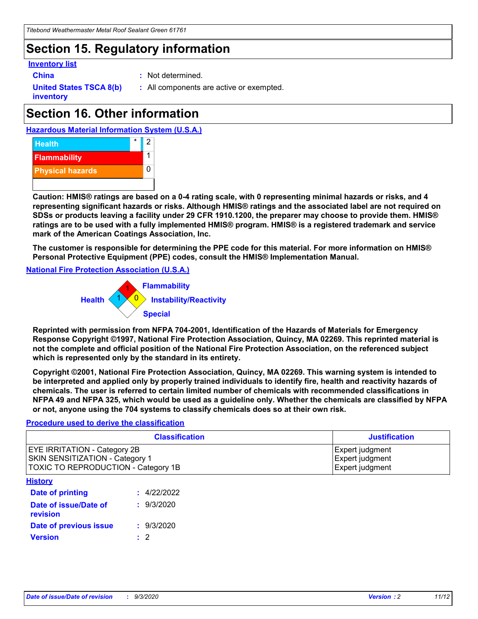# **Section 15. Regulatory information**

### **Inventory list**

- 
- **China :** Not determined.

**United States TSCA 8(b) inventory**

**:** All components are active or exempted.

# **Section 16. Other information**

**Hazardous Material Information System (U.S.A.)**



**Caution: HMIS® ratings are based on a 0-4 rating scale, with 0 representing minimal hazards or risks, and 4 representing significant hazards or risks. Although HMIS® ratings and the associated label are not required on SDSs or products leaving a facility under 29 CFR 1910.1200, the preparer may choose to provide them. HMIS® ratings are to be used with a fully implemented HMIS® program. HMIS® is a registered trademark and service mark of the American Coatings Association, Inc.**

**The customer is responsible for determining the PPE code for this material. For more information on HMIS® Personal Protective Equipment (PPE) codes, consult the HMIS® Implementation Manual.**

**National Fire Protection Association (U.S.A.)**



**Reprinted with permission from NFPA 704-2001, Identification of the Hazards of Materials for Emergency Response Copyright ©1997, National Fire Protection Association, Quincy, MA 02269. This reprinted material is not the complete and official position of the National Fire Protection Association, on the referenced subject which is represented only by the standard in its entirety.**

**Copyright ©2001, National Fire Protection Association, Quincy, MA 02269. This warning system is intended to be interpreted and applied only by properly trained individuals to identify fire, health and reactivity hazards of chemicals. The user is referred to certain limited number of chemicals with recommended classifications in NFPA 49 and NFPA 325, which would be used as a guideline only. Whether the chemicals are classified by NFPA or not, anyone using the 704 systems to classify chemicals does so at their own risk.**

### **Procedure used to derive the classification**

| <b>Classification</b>                                                                                         | <b>Justification</b>                                  |
|---------------------------------------------------------------------------------------------------------------|-------------------------------------------------------|
| <b>EYE IRRITATION - Category 2B</b><br>SKIN SENSITIZATION - Category 1<br>TOXIC TO REPRODUCTION - Category 1B | Expert judgment<br>Expert judgment<br>Expert judgment |
| <b>History</b>                                                                                                |                                                       |

| .                                 |             |
|-----------------------------------|-------------|
| <b>Date of printing</b>           | : 4/22/2022 |
| Date of issue/Date of<br>revision | : 9/3/2020  |
| Date of previous issue            | : 9/3/2020  |
| <b>Version</b>                    | $\cdot$ 2   |
|                                   |             |